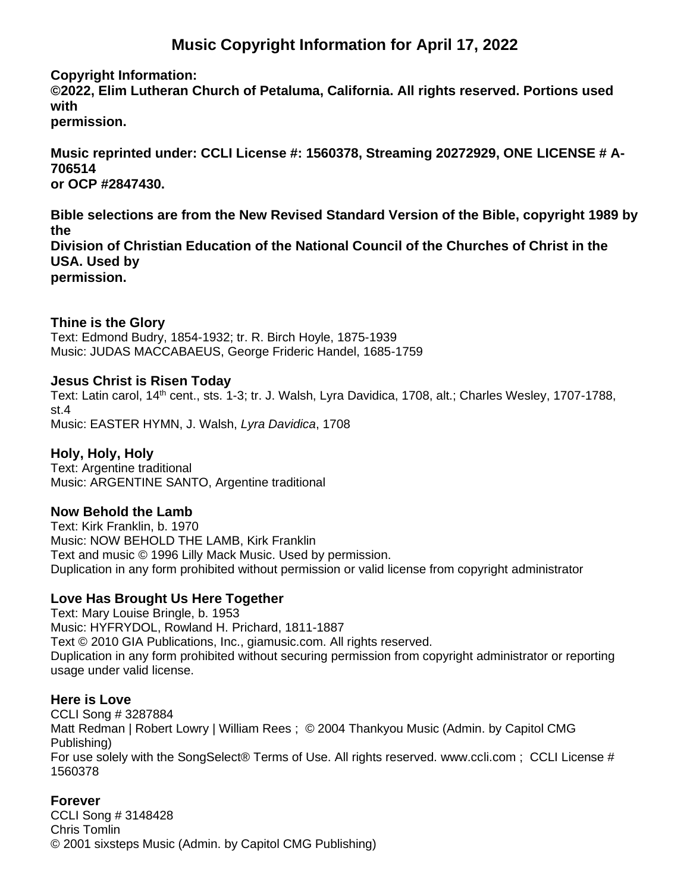# **Music Copyright Information for April 17, 2022**

#### **Copyright Information:**

**©2022, Elim Lutheran Church of Petaluma, California. All rights reserved. Portions used with permission.**

**Music reprinted under: CCLI License #: 1560378, Streaming 20272929, ONE LICENSE # A-706514 or OCP #2847430.**

**Bible selections are from the New Revised Standard Version of the Bible, copyright 1989 by the Division of Christian Education of the National Council of the Churches of Christ in the USA. Used by**

**permission.**

## **Thine is the Glory**

Text: Edmond Budry, 1854-1932; tr. R. Birch Hoyle, 1875-1939 Music: JUDAS MACCABAEUS, George Frideric Handel, 1685-1759

#### **Jesus Christ is Risen Today**

Text: Latin carol, 14<sup>th</sup> cent., sts. 1-3; tr. J. Walsh, Lyra Davidica, 1708, alt.; Charles Wesley, 1707-1788, st.4 Music: EASTER HYMN, J. Walsh, *Lyra Davidica*, 1708

#### **Holy, Holy, Holy**

Text: Argentine traditional Music: ARGENTINE SANTO, Argentine traditional

## **Now Behold the Lamb**

Text: Kirk Franklin, b. 1970 Music: NOW BEHOLD THE LAMB, Kirk Franklin Text and music © 1996 Lilly Mack Music. Used by permission. Duplication in any form prohibited without permission or valid license from copyright administrator

## **Love Has Brought Us Here Together**

Text: Mary Louise Bringle, b. 1953 Music: HYFRYDOL, Rowland H. Prichard, 1811-1887 Text © 2010 GIA Publications, Inc., giamusic.com. All rights reserved. Duplication in any form prohibited without securing permission from copyright administrator or reporting usage under valid license.

#### **Here is Love**

CCLI Song # 3287884 Matt Redman | Robert Lowry | William Rees ; © 2004 Thankyou Music (Admin. by Capitol CMG Publishing) For use solely with the SongSelect® Terms of Use. All rights reserved. www.ccli.com ; CCLI License # 1560378

## **Forever**

CCLI Song # 3148428 Chris Tomlin © 2001 sixsteps Music (Admin. by Capitol CMG Publishing)